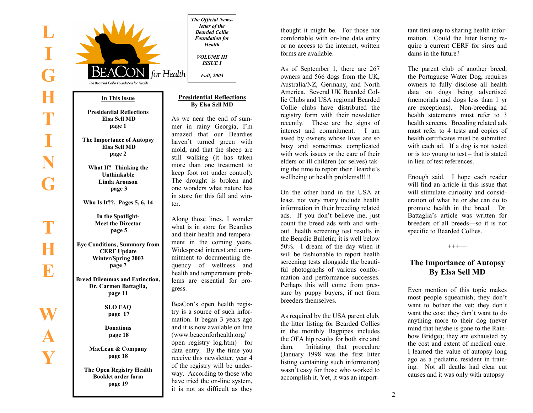**Y** 



thought it might be. For those not comfortable with on-line data entry or no access to the internet, written forms are available.

As of September 1, there are 267 owners and 566 dogs from the UK, Australia/NZ, Germany, and North America. Several UK Bearded Collie Clubs and USA regional Bearded Collie clubs have distributed the registry form with their newsletter recently. These are the signs of interest and commitment. I am awed by owners whose lives are so busy and sometimes complicated with work issues or the care of their elders or ill children (or selves) taking the time to report their Beardie's wellbeing or health problems!!!!!

On the other hand in the USA at least, not very many include health information in their breeding related ads. If you don't believe me, just count the breed ads with and without health screening test results in the Beardie Bulletin; it is well below 50%. I dream of the day when it will be fashionable to report health screening tests alongside the beautiful photographs of various conformation and performance successes. Perhaps this will come from pressure by puppy buyers, if not from breeders themselves.

As required by the USA parent club, the litter listing for Bearded Collies in the monthly Bagpipes includes the OFA hip results for both sire and dam. Initiating that procedure (January 1998 was the first litter listing containing such information) wasn't easy for those who worked to accomplish it. Yet, it was an import-

tant first step to sharing health infor mation. Could the litter listing re-

quire a current CERF for sires and<br>dams in the future?<br>The parent club of another breed,<br>the Portuguese Water Dog, requires<br>owners to fully disclose all health<br>data on dogs being advertised<br>(memorials and dogs less than 1

eration of what he or she can do to promote health in the breed. Dr. Battaglia's article was written for breeders of all breeds—so it is not specific to Bearded Collies.  $+++++$ 

# **The Importance of Autopsy By Elsa Sell MD**

Even mention of this topic makes most people squeamish; they don't want to bother the vet; they don't want to do anything more to their dog (never mind that he/she is gone to the Rainbow Bridge); they are exhausted by the cost and extent of medical care.<br>I learned the value of autopsy long ago as a pediatric resident in training. Not all deaths had clear cut causes and it was only with autopsy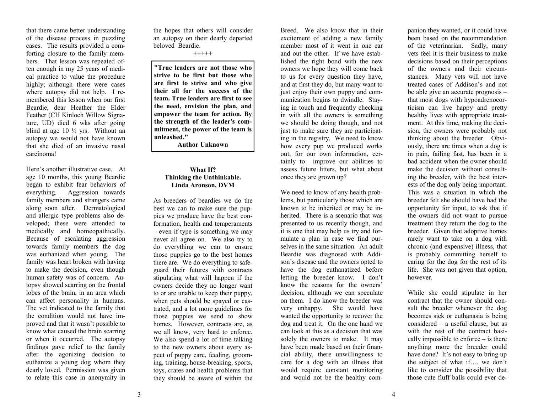that there came better understanding of the disease process in puzzling cases. The results provided a comforting closure to the family members. That lesson was repeated often enough in my 25 years of medical practice to value the procedure highly; although there were cases where autopsy did not help. I remembered this lesson when our first Beardie, dear Heather the Elder Feather (CH Kinloch Willow Signature, UD) died 6 wks after going blind at age 10 ½ yrs. Without an autopsy we would not have known that she died of an invasive nasal carcinoma!

Here's another illustrative case. At age 10 months, this young Beardie began to exhibit fear behaviors of everything. Aggression towards family members and strangers came along soon after. Dermatological and allergic type problems also developed; these were attended to medically and homeopathically. Because of escalating aggression towards family members the dog was euthanized when young. The family was heart broken with having to make the decision, even though human safety was of concern. Autopsy showed scarring on the frontal lobes of the brain, in an area which can affect personality in humans. The vet indicated to the family that the condition would not have improved and that it wasn't possible to know what caused the brain scarring or when it occurred. The autopsy findings gave relief to the family after the agonizing decision to euthanize a young dog whom they dearly loved. Permission was given to relate this case in anonymity in

the hopes that others will consider an autopsy on their dearly departed beloved Beardie.

+++++

**"True leaders are not those who strive to be first but those who are first to strive and who give their all for the success of the team. True leaders are first to see the need, envision the plan, and empower the team for action. By the strength of the leader's commitment, the power of the team is unleashed."** 

**Author Unknown** 

# **What If? Thinking the Unthinkable. Linda Aronson, DVM**

As breeders of beardies we do the best we can to make sure the puppies we produce have the best conformation, health and temperaments – even if type is something we may never all agree on. We also try to do everything we can to ensure those puppies go to the best homes there are. We do everything to safeguard their futures with contracts stipulating what will happen if the owners decide they no longer want to or are unable to keep their puppy, when pets should be spayed or castrated, and a lot more guidelines for those puppies we send to show homes. However, contracts are, as we all know, very hard to enforce. We also spend a lot of time talking to the new owners about every aspect of puppy care, feeding, grooming, training, house-breaking, sports, toys, crates and health problems that they should be aware of within the

Breed. We also know that in their excitement of adding a new family member most of it went in one ear and out the other. If we have established the right bond with the new owners we hope they will come back to us for every question they have, and at first they do, but many want to just enjoy their own puppy and communication begins to dwindle. Staying in touch and frequently checking in with all the owners is something we should be doing though, and not just to make sure they are participating in the registry. We need to know how every pup we produced works out, for our own information, certainly to improve our abilities to assess future litters, but what about once they are grown up?

We need to know of any health problems, but particularly those which are known to be inherited or may be inherited. There is a scenario that was presented to us recently though, and it is one that may help us try and formulate a plan in case we find ourselves in the same situation. An adult Beardie was diagnosed with Addison's disease and the owners opted to have the dog euthanatized before letting the breeder know. I don't know the reasons for the owners' decision, although we can speculate on them. I do know the breeder was very unhappy. She would have wanted the opportunity to recover the dog and treat it. On the one hand we can look at this as a decision that was solely the owners to make. It may have been made based on their financial ability, there unwillingness to care for a dog with an illness that would require constant monitoring and would not be the healthy com-

panion they wanted, or it could have been based on the recommendation of the veterinarian. Sadly, many vets feel it is their business to make decisions based on their perceptions of the owners and their circumstances. Many vets will not have treated cases of Addison's and not be able give an accurate prognosis – that most dogs with hypoadrenocor-<br>ticism can live happy and pretty healthy lives with appropriate treatment. At this time, making the deci-<br>sion, the owners were probably not thinking about the breeder. Obvi-<br>ously, there are times when a dog is in pain, failing fast, has been in a bad accident when the owner should make the decision without consulting the breeder, with the best inter ests of the dog only being important.<br>This was a situation in which the<br>breeder felt she should have had the<br>opportunity for input, to ask that if<br>the owners did not want to pursue<br>treatment they return the dog to the<br>bree

sult the breeder whenever the dog becomes sick or euthanasia is being considered – a useful clause, but as with the rest of the contract basically impossible to enforce – is there anything more the breeder could have done? It's not easy to bring up the subject of what if…. we don't like to consider the possibility that those cute fluff balls could ever de-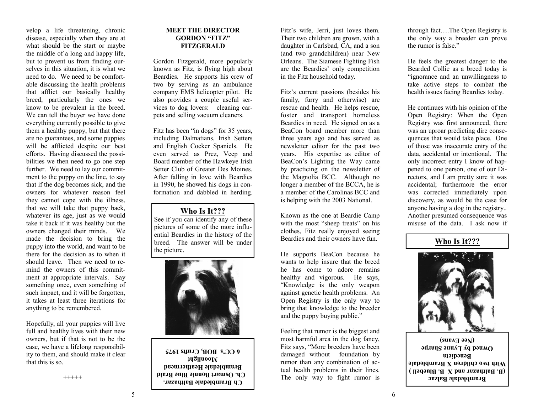velop a life threatening, chronic disease, especially when they are at what should be the start or maybe the middle of a long and happy life, but to prevent us from finding ourselves in this situation, it is what we need to do. We need to be comfortable discussing the health problems that afflict our basically healthy breed, particularly the ones we know to be prevalent in the breed. We can tell the buyer we have done everything currently possible to give them a healthy puppy, but that there are no guarantees, and some puppies will be afflicted despite our best efforts. Having discussed the possibilities we then need to go one step further. We need to lay our commitment to the puppy on the line, to say that if the dog becomes sick, and the owners for whatever reason feel they cannot cope with the illness, that we will take that puppy back, whatever its age, just as we would take it back if it was healthy but the owners changed their minds. We made the decision to bring the puppy into the world, and want to be there for the decision as to when it should leave. Then we need to remind the owners of this commitment at appropriate intervals. Say something once, even something of such impact, and it will be forgotten, it takes at least three iterations for anything to be remembered.

Hopefully, all your puppies will live full and healthy lives with their new owners, but if that is not to be the case, we have a lifelong responsibility to them, and should make it clear that this is so.

+++++

# **MEET THE DIRECTOR GORDON "FITZ" FITZGERALD**

Gordon Fitzgerald, more popularly known as Fitz, is flying high about Beardies. He supports his crew of two by serving as an ambulance company EMS helicopter pilot. He also provides a couple useful services to dog lovers: cleaning carpets and selling vacuum cleaners.

Fitz has been "in dogs" for 35 years, including Dalmatians, Irish Setters and English Cocker Spaniels. He even served as Prez, Veep and Board member of the Hawkeye Irish Setter Club of Greater Des Moines. After falling in love with Beardies in 1990, he showed his dogs in conformation and dabbled in herding.

# **Who Is It???**

See if you can identify any of these pictures of some of the more influential Beardies in the history of the breed. The answer will be under the picture.



**Ch Brambledale Balthazar. Ch. Osmart Bonnie Blue Braid Brambledale Heathermead Moonlight 6 CC's BOB, Crufts 1975** 

Fitz's wife, Jerri, just loves them. Their two children are grown, with a daughter in Carlsbad, CA, and a son (and two grandchildren) near New Orleans. The Siamese Fighting Fish are the Beardies' only competition in the Fitz household today.

Fitz's current passions (besides his family, furry and otherwise) are rescue and health. He helps rescue, foster and transport homeless Beardies in need. He signed on as a BeaCon board member more than three years ago and has served as newsletter editor for the past two years. His expertise as editor of BeaCon's Lighting the Way came by practicing on the newsletter of the Magnolia BCC. Although no longer a member of the BCCA, he is a member of the Carolinas BCC and is helping with the 2003 National.

Known as the one at Beardie Camp with the most "sheep treats" on his clothes, Fitz really enjoyed seeing Beardies and their owners have fun.

He supports BeaCon because he wants to help insure that the breed he has come to adore remains healthy and vigorous. He says, "Knowledge is the only weapon against genetic health problems. An Open Registry is the only way to bring that knowledge to the breeder and the puppy buying public."

Feeling that rumor is the biggest and most harmful area in the dog fancy, Fitz says, "More breeders have been damaged without foundation by rumor than any combination of actual health problems in their lines. The only way to fight rumor is through fact….The Open Registry is the only way a breeder can prove the rumor is false."

He feels the greatest danger to the Bearded Collie as a breed today is "ignorance and an unwillingness to take active steps to combat the health issues facing Beardies today.

He continues with his opinion of the Open Registry: When the Open Registry was first announced, there was an uproar predicting dire consequences that would take place. One of those was inaccurate entry of the data, accidental or intentional. The only incorrect entry I know of happened to one person, one of our Directors, and I am pretty sure it was accidental; furthermore the error was corrected immediately upon discovery, as would be the case for anyone having a dog in the registry.. Another presumed consequence was misuse of the data. I ask now if

# **Who Is It???**



**Brambledale Balzac ) (B. Balthazar and X B. Bluebell** With two children X Brambledale **Benedicta**  Owned by **Lynne** Sharpe **(Nee Evans)**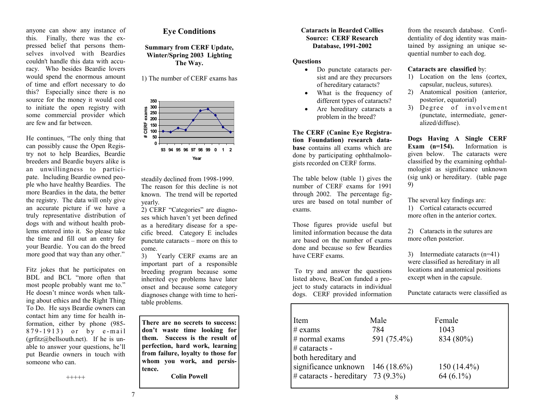anyone can show any instance of this. Finally, there was the expressed belief that persons themselves involved with Beardies couldn't handle this data with accuracy. Who besides Beardie lovers would spend the enormous amount of time and effort necessary to do this? Especially since there is no source for the money it would cost to initiate the open registry with some commercial provider which are few and far between.

He continues, "The only thing that can possibly cause the Open Registry not to help Beardies, Beardie breeders and Beardie buyers alike is an unwillingness to participate. Including Beardie owned people who have healthy Beardies. The more Beardies in the data, the better the registry. The data will only give an accurate picture if we have a truly representative distribution of dogs with and without health problems entered into it. So please take the time and fill out an entry for your Beardie. You can do the breed more good that way than any other."

Fitz jokes that he participates on BDL and BCL "more often that most people probably want me to." He doesn't mince words when talking about ethics and the Right Thing To Do. He says Beardie owners can contact him any time for health information, either by phone (985- 879-1913) or by e-mail  $(\text{grfitz@bellsouth.net})$ . If he is unable to answer your questions, he'll put Beardie owners in touch with someone who can.

# **Eye Conditions**

**Summary from CERF Update, Winter/Spring 2003 Lighting The Way.** 

1) The number of CERF exams has



steadily declined from 1998-1999. The reason for this decline is not known. The trend will be reported yearly.

2) CERF "Categories" are diagnoses which haven't yet been defined as a hereditary disease for a specific breed. Category E includes punctate cataracts – more on this to come.

3) Yearly CERF exams are an important part of a responsible breeding program because some inherited eye problems have later onset and because some category diagnoses change with time to heritable problems.

**There are no secrets to success: don't waste time looking for them. Success is the result of perfection, hard work, learning from failure, loyalty to those for whom you work, and persistence.** 

**Colin Powell** 

# **Cataracts in Bearded Collies Source: CERF Research Database, 1991-2002**

# **Questions**

- Do punctate cataracts persist and are they precursors of hereditary cataracts?
- What is the frequency of different types of cataracts?
- Are hereditary cataracts a problem in the breed?

**The CERF (Canine Eye Registra-**

**tion Foundation) research database** contains all exams which are done by participating ophthalmologists recorded on CERF forms.

The table below (table 1) gives the number of CERF exams for 1991 through 2002. The percentage figures are based on total number of exams.

Those figures provide useful but limited information because the data are based on the number of exams done and because so few Beardies have CERF exams.

 To try and answer the questions listed above, BeaCon funded a project to study cataracts in individual dogs. CERF provided information

from the research database. Confidentiality of dog identity was maintained by assigning an unique sequential number to each dog.

# **Cataracts are classified** by:

- 1) Location on the lens (cortex, capsular, nucleus, sutures).
- 2) Anatomical position (anterior, posterior, equatorial)
- 3) Degree of involvement (punctate, intermediate, generalized/diffuse).

**Dogs Having A Single CERF Exam (n=154).** Information is given below. The cataracts were classified by the examining ophthalmologist as significance unknown (sig unk) or hereditary. (table page 9)

The several key findings are: 1) Cortical cataracts occurred more often in the anterior cortex.

2) Cataracts in the sutures are more often posterior.

3) Intermediate cataracts (n=41) were classified as hereditary in all locations and anatomical positions except when in the capsule.

Punctate cataracts were classified as

| Item                                  | Male        | Female        |
|---------------------------------------|-------------|---------------|
| $#$ exams                             | 784         | 1043          |
| $\#$ normal exams                     | 591 (75.4%) | 834 (80%)     |
| $\#$ cataracts -                      |             |               |
| both hereditary and                   |             |               |
| significance unknown $146 (18.6\%)$   |             | $150(14.4\%)$ |
| $\#$ cataracts - hereditary 73 (9.3%) |             | $64(6.1\%)$   |
|                                       |             |               |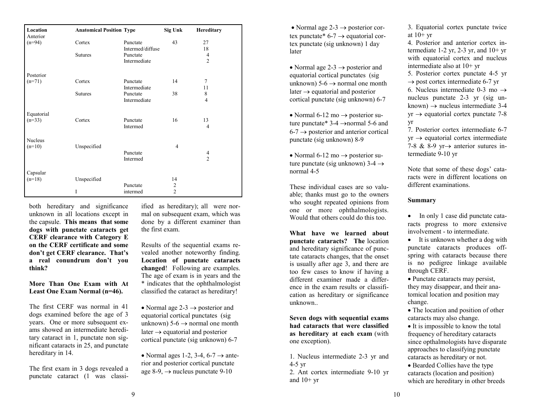| Location<br>Anterior | <b>Anatomical Position Type</b> |                  | Sig Unk        | Hereditary     |
|----------------------|---------------------------------|------------------|----------------|----------------|
| $(n=94)$             | Cortex                          | Punctate         | 43             | 27             |
|                      |                                 | Intermed/diffuse |                | 18             |
|                      | <b>Sutures</b>                  | Punctate         |                | 4              |
|                      |                                 | Intermediate     |                | $\overline{2}$ |
| Posterior            |                                 |                  |                |                |
| $(n=71)$             | Cortex                          | Punctate         | 14             | $\overline{7}$ |
|                      |                                 | Intermediate     |                | 11             |
|                      | <b>Sutures</b>                  | Punctate         | 38             | 8              |
|                      |                                 | Intermediate     |                | $\overline{4}$ |
| Equatorial           |                                 |                  |                |                |
| $(n=33)$             | Cortex                          | Punctate         | 16             | 13             |
|                      |                                 | Intermed         |                | 4              |
| <b>Nucleus</b>       |                                 |                  |                |                |
| $(n=10)$             | Unspecified                     |                  | $\overline{4}$ |                |
|                      |                                 | Punctate         |                | 4              |
|                      |                                 | Intermed         |                | $\mathfrak{D}$ |
| Capsular             |                                 |                  |                |                |
| $(n=18)$             | Unspecified                     |                  | 14             |                |
|                      |                                 | Punctate         | $\overline{c}$ |                |
|                      | I                               | intermed         | $\overline{2}$ |                |

both hereditary and significance unknown in all locations except in the capsule. **This means that some dogs with punctate cataracts get CERF clearance with Category E on the CERF certificate and some don't get CERF clearance. That's a real conundrum don't you think?** 

**More Than One Exam with At Least One Exam Normal (n=46).** 

The first CERF was normal in 41 dogs examined before the age of 3 years. One or more subsequent exams showed an intermediate hereditary cataract in 1, punctate non significant cataracts in 25, and punctate hereditary in 14.

The first exam in 3 dogs revealed a punctate cataract (1 was classiified as hereditary); all were nor mal on subsequent exam, which was done by a different examiner than the first exam.<br>Results of the sequential exams re-

vealed another noteworthy finding. **Location of punctate cataracts**<br>**changed**! Following are examples.<br>The age of exam is in years and the<br>\* indicates that the ophthalmologist<br>classified the cataract as hereditary!

• Normal age  $2-3 \rightarrow$  posterior and equatorial cortical punctates (sig unknown)  $5-6 \rightarrow$  normal one month later  $\rightarrow$  equatorial and posterior cortical punctate (sig unknown) 6-7

• Normal ages 1-2, 3-4, 6-7  $\rightarrow$  anterior and posterior cortical punctate age 8-9, <sup>→</sup> nucleus punctate 9-10

• Normal age  $2-3 \rightarrow$  posterior cortex punctate\*  $6\n-7 \rightarrow$  equatorial cortex punctate (sig unknown) 1 day later

• Normal age  $2-3 \rightarrow$  posterior and equatorial cortical punctates (sig unknown)  $5-6 \rightarrow$  normal one month later  $\rightarrow$  equatorial and posterior cortical punctate (sig unknown) 6-7

• Normal 6-12 mo  $\rightarrow$  posterior suture punctate\* 3-4 →normal 5-6 and  $6-7 \rightarrow$  posterior and anterior cortical punctate (sig unknown) 8-9

• Normal 6-12 mo  $\rightarrow$  posterior suture punctate (sig unknown) 3-4 →normal 4-5

These individual cases are so valuable; thanks must go to the owners who sought repeated opinions from one or more ophthalmologists. Would that others could do this too.

**What have we learned about punctate cataracts? The** location and hereditary significance of punctate cataracts changes, that the onset is usually after age 3, and there are too few cases to know if having a different examiner made a difference in the exam results or classification as hereditary or significance unknown..

**Seven dogs with sequential exams had cataracts that were classified as hereditary at each exam** (with one exception).

1. Nucleus intermediate 2-3 yr and 4-5 yr

2. Ant cortex intermediate 9-10 yr and  $10+vr$ 

3. Equatorial cortex punctate twice at  $10+yr$ 

4. Posterior and anterior cortex intermediate 1-2 yr, 2-3 yr, and  $10+yr$ with equatorial cortex and nucleus intermediate also at 10+ yr

5. Posterior cortex punctate 4-5 yr  $\rightarrow$  post cortex intermediate 6-7 yr

6. Nucleus intermediate 0-3 mo  $\rightarrow$ nucleus punctate 2-3 yr (sig unknown)  $\rightarrow$  nucleus intermediate 3-4  $yr \rightarrow$  equatorial cortex punctate 7-8 yr

7. Posterior cortex intermediate 6-7  $yr \rightarrow$  equatorial cortex intermediate 7-8 & 8-9 yr $\rightarrow$  anterior sutures intermediate 9-10 yr

Note that some of these dogs' cataracts were in different locations on different examinations.

# **Summary**

• In only 1 case did punctate cataracts progress to more extensive involvement - to intermediate.

• It is unknown whether a dog with punctate cataracts produces offspring with cataracts because there is no pedigree linkage available through CERF.

• Punctate cataracts may persist, they may disappear, and their anatomical location and position may change.

• The location and position of other cataracts may also change.

• It is impossible to know the total frequency of hereditary cataracts since opthalmologists have disparate approaches to classifying punctate cataracts as hereditary or not.

• Bearded Collies have the type cataracts (location and position) which are hereditary in other breeds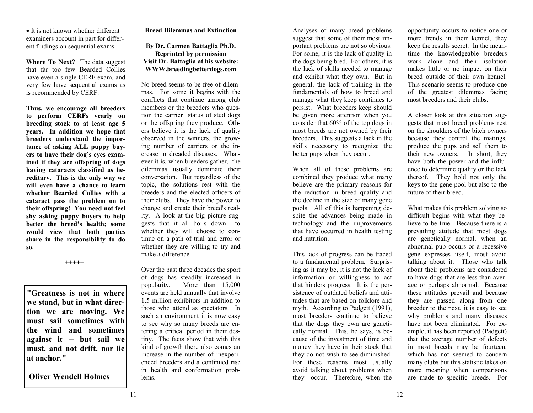• It is not known whether different examiners account in part for different findings on sequential exams.

**Where To Next?** The data suggest that far too few Bearded Collies have even a single CERF exam, and very few have sequential exams as is recommended by CERF.

**Thus, we encourage all breeders to perform CERFs yearly on breeding stock to at least age 5 years. In addition we hope that breeders understand the importance of asking ALL puppy buyers to have their dog's eyes examined if they are offspring of dogs having cataracts classified as hereditary. This is the only way we will even have a chance to learn whether Bearded Collies with a cataract pass the problem on to their offspring! You need not feel shy asking puppy buyers to help better the breed's health; some would view that both parties share in the responsibility to do so.** 

 **+++++**

**"Greatness is not in where we stand, but in what direction we are moving. We must sail sometimes with the wind and sometimes against it -- but sail we must, and not drift, nor lie at anchor."** 

 **Oliver Wendell Holmes** 

# **Breed Dilemmas and Extinction**

# **By Dr. Carmen Battaglia Ph.D. Reprinted by permission Visit Dr. Battaglia at his website: WWW.breedingbetterdogs.com**

No breed seems to be free of dilemmas. For some it begins with the conflicts that continue among club members or the breeders who question the carrier status of stud dogs or the offspring they produce. Others believe it is the lack of quality observed in the winners, the growing number of carriers or the increase in dreaded diseases. Whatever it is, when breeders gather, the dilemmas usually dominate their conversation. But regardless of the topic, the solutions rest with the breeders and the elected officers of their clubs. They have the power to change and create their breed's reality. A look at the big picture suggests that it all boils down to whether they will choose to continue on a path of trial and error or whether they are willing to try and make a difference.

Over the past three decades the sport of dogs has steadily increased in popularity. More than 15,000 events are held annually that involve 1.5 million exhibitors in addition to those who attend as spectators. In such an environment it is now easy to see why so many breeds are entering a critical period in their destiny. The facts show that with this kind of growth there also comes an increase in the number of inexperienced breeders and a continued rise in health and conformation problems.

Analyses of many breed problems suggest that some of their most important problems are not so obvious. For some, it is the lack of quality in the dogs being bred. For others, it is the lack of skills needed to manage and exhibit what they own. But in general, the lack of training in the fundamentals of how to breed and manage what they keep continues to persist. What breeders keep should be given more attention when you consider that 60% of the top dogs in most breeds are not owned by their breeders. This suggests a lack in the skills necessary to recognize the better pups when they occur.

When all of these problems are combined they produce what many believe are the primary reasons for the reduction in breed quality and the decline in the size of many gene pools. All of this is happening despite the advances being made in technology and the improvements that have occurred in health testing and nutrition.

This lack of progress can be traced to a fundamental problem. Surprising as it may be, it is not the lack of information or willingness to act that hinders progress. It is the persistence of outdated beliefs and attitudes that are based on folklore and myth. According to Padgett (1991), most breeders continue to believe that the dogs they own are genetically normal. This, he says, is because of the investment of time and money they have in their stock that they do not wish to see diminished. For these reasons most usually avoid talking about problems when they occur. Therefore, when the

opportunity occurs to notice one or more trends in their kennel, they keep the results secret. In the meantime the knowledgeable breeders work alone and their isolation makes little or no impact on their breed outside of their own kennel. This scenario seems to produce one of the greatest dilemmas facing most breeders and their clubs.

A closer look at this situation suggests that most breed problems rest on the shoulders of the bitch owners because they control the matings, produce the pups and sell them to their new owners. In short, they have both the power and the influence to determine quality or the lack thereof. They hold not only the keys to the gene pool but also to the future of their breed.

What makes this problem solving so difficult begins with what they believe to be true. Because there is a prevailing attitude that most dogs are genetically normal, when an abnormal pup occurs or a recessive gene expresses itself, most avoid talking about it. Those who talk about their problems are considered to have dogs that are less than average or perhaps abnormal. Because these attitudes prevail and because they are passed along from one breeder to the next, it is easy to see why problems and many diseases have not been eliminated. For example, it has been reported (Padgett) that the average number of defects in most breeds may be fourteen, which has not seemed to concern many clubs but this statistic takes on more meaning when comparisons are made to specific breeds. For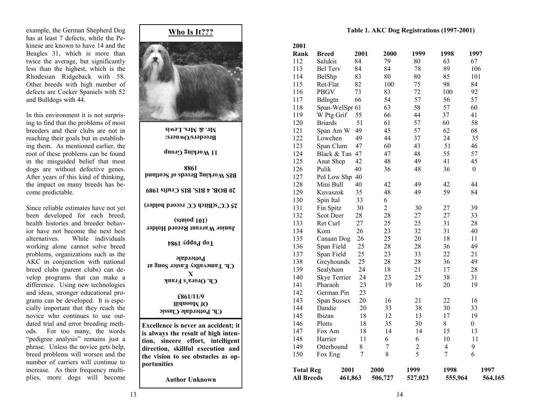example, the German Shepherd Dog has at least 7 defects, while the Pekinese are known to have 14 and the Beagles 31, which is more than twice the average, but significantly less than the highest, which is the Rhodesian Ridgeback with 58. Other breeds with high number of defects are Cocker Spaniels with 52 and Bulldogs with 44.

In this environment it is not surprising to find that the problems of most breeders and their clubs are not in reaching their goals but in establishing them. As mentioned earlier, the root of these problems can be found in the misguided belief that most dogs are without defective genes. After years of this kind of thinking, the impact on many breeds has become predictable.

Since reliable estimates have not yet been developed for each breed, health histories and breeder behavior have not become the next best alternatives. While individuals working alone cannot solve breed problems, organizations such as the AKC in conjunction with national breed clubs (parent clubs) can develop programs that can make a difference. Using new technologies and ideas, stronger educational programs can be developed. It is especially important that they reach the novice who continues to use outdated trial and error breeding methods. For too many, the words "pedigree analysis" remains just a phrase. Unless the novice gets help, breed problems will worsen and the number of carriers will continue to increase. As their frequency multiplies, more dogs will become

# **Who Is It??? Ch. Potterdale Classic Of Moonhill 6/11/1983 Ch. Orora's Frank X Ch. Tamevalley Easter Song at Potterdale Top Puppy 1984 Junior Warrant Record Holder (101 points) 25 CC's(Bitch CC record holder) 20 BOB, 4 BIS, BIS Crufts 1989 BIS Working Breeds of Scotland 1988 11 Working Group Breeders/Owners: Mr. & Mrs. Lewis Excellence is never an accident; it is always the result of high intention, sincere effort, intelligent direction, skillful execution and the vision to see obstacles as opportunities**

**Author Unknown** 

 **Table 1. AKC Dog Registrations (1997-2001)** 

| 2001             |                     |      |                |                |                          |                  |
|------------------|---------------------|------|----------------|----------------|--------------------------|------------------|
| Rank             | <b>Breed</b>        | 2001 | 2000           | 1999           | 1998                     | 1997             |
| 112              | Salukis             | 84   | 79             | 80             | 63                       | 67               |
| 113              | <b>Bel Terv</b>     | 84   | 84             | 78             | 89                       | 106              |
| 114              | BelShp              | 83   | 80             | 80             | 85                       | 101              |
| 115              | Ret-Flat            | 82   | 100            | 75             | 98                       | 84               |
| 116              | <b>PBGV</b>         | 73   | 83             | 72             | 100                      | 92               |
| 117              | Bdlngtn             | 66   | 54             | 57             | 56                       | 57               |
| 118              | Span-WelSpr 61      |      | 63             | 58             | 57                       | 60               |
| 119              | W Ptg Grif          | 55   | 66             | 44             | 37                       | 41               |
| 120              | <b>Briards</b>      | 51   | 61             | 57             | 60                       | 58               |
| 121              | Span Am W           | 49   | 45             | 57             | 62                       | 68               |
| 122              | Lowchen             | 49   | 44             | 37             | 24                       | 35               |
| 123              | Span Clum           | 47   | 60             | 43             | 51                       | 46               |
| 124              | Black & Tan 47      |      | 47             | 48             | 55                       | 57               |
| 125              | Anat Shep           | 42   | 48             | 49             | 41                       | 45               |
| 126              | Pulik               | 40   | 36             | 48             | 36                       | $\theta$         |
| 127              | Pol Low Shp         | 40   |                |                |                          |                  |
| 128              | Mini Bull           | 40   | 42             | 49             | 42                       | 44               |
| 129              | Kuvaszok            | 35   | 48             | 49             | 59                       | 84               |
| 130              | Spin Ital           | 33   | 6              |                |                          |                  |
| 131              | Fin Spitz           | 30   | $\overline{2}$ | 30             | 27                       | 39               |
| 132              | Scot Deer           | 28   | 28             | 27             | 27                       | 33               |
| 133              | Ret Curl            | 27   | 25             | 25             | 31                       | 28               |
| 134              | Kom                 | 26   | 23             | 32             | 31                       | 40               |
| 135              | Canaan Dog          | 26   | 25             | 20             | 18                       | 11               |
| 136              | Span Field          | 25   | 28             | 28             | 36                       | 49               |
| 137              | Span Field          | 25   | 23             | 33             | 22                       | 21               |
| 138              | Greyhounds          | 25   | 28             | 28             | 36                       | 49               |
| 139              | Sealyham            | 24   | 18             | 21             | 17                       | 28               |
| 140              | <b>Skye Terrier</b> | 24   | 23             | 25             | 38                       | 31               |
| 141              | Pharaoh             | 23   | 19             | 16             | 20                       | 19               |
| 142              | German Pin          | 23   |                |                |                          |                  |
| 143              | Span Sussex         | 20   | 16             | 21             | 22                       | 16               |
| 144              | Dandie              | 20   | 33             | 38             | 30                       | 33               |
| 145              | Ibizan              | 18   | 12             | 13             | 17                       | 19               |
| 146              | Plotts              | 18   | 35             | 30             | 8                        | $\boldsymbol{0}$ |
| 147              | Fox Am              | 18   | 14             | 14             | 15                       | 13               |
| 148              | Harrier             | 11   | 6              | 6              | 10                       | 11               |
| 149              | Otterhound          | 8    | 7              | $\overline{c}$ | $\overline{\mathcal{A}}$ | 9                |
| 150              | Fox Eng             | 7    | 8              | 5              | $\overline{7}$           | 6                |
| <b>Total Reg</b> | 2001                |      | 2000           | 1999           | 1998                     | 1997             |
| All Breeds       | 461,863             |      | 506,727        | 527,023        | 555,964                  | 564,165          |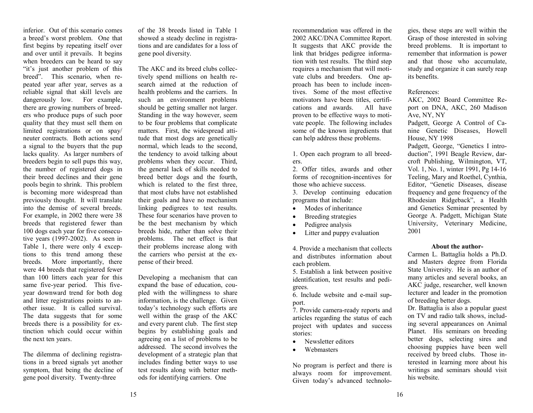inferior. Out of this scenario comes a breed's worst problem. One that first begins by repeating itself over and over until it prevails. It begins when breeders can be heard to say "it's just another problem of this breed". This scenario, when repeated year after year, serves as a reliable signal that skill levels are dangerously low. For example, there are growing numbers of breeders who produce pups of such poor quality that they must sell them on limited registrations or on spay/ neuter contracts. Both actions send a signal to the buyers that the pup lacks quality. As larger numbers of breeders begin to sell pups this way, the number of registered dogs in their breed declines and their gene pools begin to shrink. This problem is becoming more widespread than previously thought. It will translate into the demise of several breeds. For example, in 2002 there were 38 breeds that registered fewer than 100 dogs each year for five consecutive years (1997-2002). As seen in Table 1, there were only 4 exceptions to this trend among these breeds. More importantly, there were 44 breeds that registered fewer than 100 litters each year for this same five-year period. This fiveyear downward trend for both dog and litter registrations points to another issue. It is called survival. The data suggests that for some breeds there is a possibility for extinction which could occur within the next ten years.

The dilemma of declining registrations in a breed signals yet another symptom, that being the decline of gene pool diversity. Twenty-three

of the 38 breeds listed in Table 1 showed a steady decline in registrations and are candidates for a loss of gene pool diversity.

The AKC and its breed clubs collectively spend millions on health research aimed at the reduction of health problems and the carriers. In such an environment problems should be getting smaller not larger. Standing in the way however, seem to be four problems that complicate matters. First, the widespread attitude that most dogs are genetically normal, which leads to the second, the tendency to avoid talking about problems when they occur. Third, the general lack of skills needed to breed better dogs and the fourth, which is related to the first three, that most clubs have not established their goals and have no mechanism linking pedigrees to test results. These four scenarios have proven to be the best mechanism by which breeds hide, rather than solve their problems. The net effect is that their problems increase along with the carriers who persist at the expense of their breed.

Developing a mechanism that can expand the base of education, coupled with the willingness to share information, is the challenge. Given today's technology such efforts are well within the grasp of the AKC and every parent club. The first step begins by establishing goals and agreeing on a list of problems to be addressed. The second involves the development of a strategic plan that includes finding better ways to use test results along with better methods for identifying carriers. One

recommendation was offered in the 2002 AKC/DNA Committee Report. It suggests that AKC provide the link that bridges pedigree information with test results. The third step requires a mechanism that will motivate clubs and breeders. One approach has been to include incentives. Some of the most effective motivators have been titles, certifications and awards. All have proven to be effective ways to motivate people. The following includes some of the known ingredients that can help address these problems.

1. Open each program to all breeders.

2. Offer titles, awards and other forms of recognition-incentives for those who achieve success.

3. Develop continuing education programs that include:

- Modes of inheritance
- Breeding strategies
- Pedigree analysis
- Litter and puppy evaluation

4. Provide a mechanism that collects and distributes information about each problem.

5. Establish a link between positive identification, test results and pedigrees.

6. Include website and e-mail support.

7. Provide camera-ready reports and articles regarding the status of each project with updates and success stories:

- Newsletter editors
- Webmasters

No program is perfect and there is always room for improvement. Given today's advanced technologies, these steps are well within the<br>Grasp of those interested in solving<br>breed problems. It is important to<br>remember that information is power<br>and that those who accumulate,<br>study and organize it can surely reap<br>its bene

port on DNA, AKC, 260 Madison Ave, NY, NY Padgett, George A Control of Ca-

nine Genetic Diseases, Howell House, NY 1998 Padgett, George, "Genetics I intro-

duction", 1991 Beagle Review, dar croft Publishing, Wilmington, VT,<br>Vol. 1, No. 1, winter 1991, Pg 14-16<br>Teeling, Mary and Roethel, Cynthia,<br>Editor, "Genetic Diseases, disease<br>frequency and gene frequency of the<br>Rhodesian Ridgeback", a Health<br>and Genetics

## **About the author-**

Carmen L. Battaglia holds a Ph.D.<br>and Masters degree from Florida<br>State University. He is an author of<br>many articles and several books, an<br>AKC judge, researcher, well known<br>lecturer and leader in the promotion<br>of breeding

ing several appearances on Animal Planet. His seminars on breeding better dogs, selecting sires and choosing puppies have been well received by breed clubs. Those in terested in learning more about his writings and seminars should visit his website.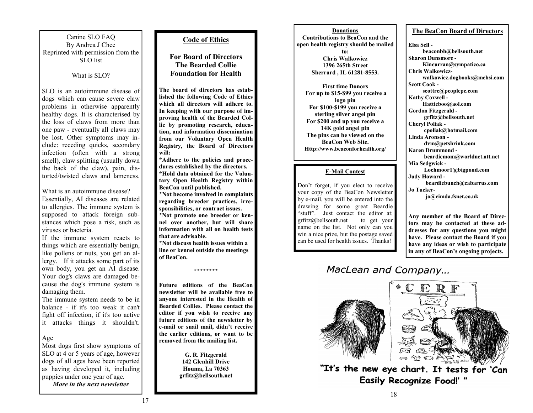Canine SLO FAQ By Andrea J Chee Reprinted with permission from the SLO list

# What is SLO?

SLO is an autoimmune disease of dogs which can cause severe claw problems in otherwise apparently healthy dogs. It is characterised by the loss of claws from more than one paw - eventually all claws may be lost. Other symptoms may include: receding quicks, secondary infection (often with a strong smell), claw splitting (usually down the back of the claw), pain, distorted/twisted claws and lameness.

What is an autoimmune disease? Essentially, AI diseases are related to allergies. The immune system is supposed to attack foreign substances which pose a risk, such as viruses or bacteria.

If the immune system reacts to things which are essentially benign, like pollens or nuts, you get an allergy. If it attacks some part of its own body, you get an AI disease. Your dog's claws are damaged because the dog's immune system is damaging them.

The immune system needs to be in balance - if it's too weak it can't fight off infection, if it's too active it attacks things it shouldn't.

# Age

Most dogs first show symptoms of SLO at 4 or 5 years of age, however dogs of all ages have been reported as having developed it, including puppies under one year of age.

*More in the next newsletter* 

## **Code of Ethics**

**For Board of Directors The Bearded Collie Foundation for Health** 

**The board of directors has established the following Code of Ethics which all directors will adhere to. In keeping with our purpose of improving health of the Bearded Collie by promoting research, education, and information dissemination from our Voluntary Open Health Registry, the Board of Directors will:** 

**\*Adhere to the policies and procedures established by the directors. \*Hold data obtained for the Voluntary Open Health Registry within BeaCon until published.** 

**\*Not become involved in complaints regarding breeder practices, irresponsibilities, or contract issues.** 

**\*Not promote one breeder or kennel over another, but will share information with all on health tests that are advisable.** 

**\*Not discuss health issues within a line or kennel outside the meetings of BeaCon.** 

**\*\*\*\*\*\*\*\*** 

**Future editions of the BeaCon newsletter will be available free to anyone interested in the Health of Bearded Collies. Please contact the editor if you wish to receive any future editions of the newsletter by e-mail or snail mail, didn't receive the earlier editions, or want to be removed from the mailing list.** 

> **G. R. Fitzgerald 142 Glenhill Drive Houma, La 70363 grfitz@bellsouth.net**

**DonationsContributions to BeaCon and the open health registry should be mailed to: Chris Walkowicz 1396 265th Street Sherrard , IL 61281-8553.** 

**First time Donors For up to \$15-\$99 you receive a logo pin For \$100-\$199 you receive a sterling silver angel pin For \$200 and up you receive a 14K gold angel pin The pins can be viewed on the BeaCon Web Site. Http://www.beaconforhealth.org/** 

# **E-Mail Contest**

Don't forget, if you elect to receive your copy of the BeaCon Newsletter by e-mail, you will be entered into the drawing for some great Beardie "stuff". Just contact the editor at; grfitz@bellsouth.net to get your name on the list. Not only can you win a nice prize, but the postage saved can be used for health issues. Thanks!

# **The BeaCon Board of Directors**

**Elsa Sell beaconbb@bellsouth.net Sharon Dunsmore - Kincurran@sympatico.ca Chris Walkowicz walkowicz.dogbooks@mchsi.com Scott Cook scottrc@peoplepc.com Kathy Coxwell - Hattieboo@aol.com Gordon Fitzgerald grfitz@bellsouth.net Cheryl Poliak cpoliak@hotmail.com Linda Aronson dvm@petshrink.com Karen Drummond beardiemom@worldnet.att.net Mia Sedgwick - Lochmoor1@bigpond.com Judy Howard beardiebunch@cabarrus.com Jo Tucker jo@cimda.fsnet.co.uk** 

**Any member of the Board of Directors may be contacted at these addresses for any questions you might have. Please contact the Board if you have any ideas or wish to participate in any of BeaCon's ongoing projects.**

MacLean and Company...





"It's the new eye chart. It tests for 'Can **Easily Recognize Food!' "**